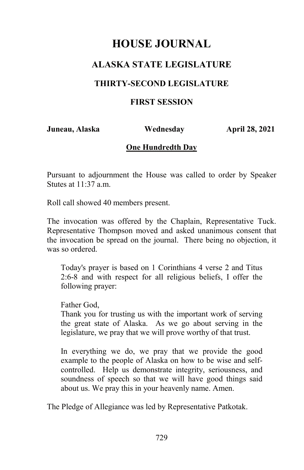## **ALASKA STATE LEGISLATURE**

#### **THIRTY-SECOND LEGISLATURE**

#### **FIRST SESSION**

**Juneau, Alaska Wednesday April 28, 2021** 

#### **One Hundredth Day**

Pursuant to adjournment the House was called to order by Speaker Stutes at  $11:37$  a.m.

Roll call showed 40 members present.

The invocation was offered by the Chaplain, Representative Tuck. Representative Thompson moved and asked unanimous consent that the invocation be spread on the journal. There being no objection, it was so ordered.

Today's prayer is based on 1 Corinthians 4 verse 2 and Titus 2:6-8 and with respect for all religious beliefs, I offer the following prayer:

Father God,

Thank you for trusting us with the important work of serving the great state of Alaska. As we go about serving in the legislature, we pray that we will prove worthy of that trust.

In everything we do, we pray that we provide the good example to the people of Alaska on how to be wise and selfcontrolled. Help us demonstrate integrity, seriousness, and soundness of speech so that we will have good things said about us. We pray this in your heavenly name. Amen.

The Pledge of Allegiance was led by Representative Patkotak.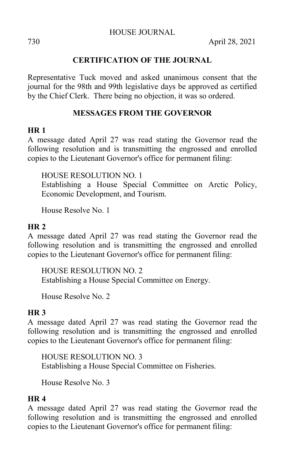730 April 28, 2021

#### **CERTIFICATION OF THE JOURNAL**

Representative Tuck moved and asked unanimous consent that the journal for the 98th and 99th legislative days be approved as certified by the Chief Clerk. There being no objection, it was so ordered.

### **MESSAGES FROM THE GOVERNOR**

#### **HR 1**

A message dated April 27 was read stating the Governor read the following resolution and is transmitting the engrossed and enrolled copies to the Lieutenant Governor's office for permanent filing:

HOUSE RESOLUTION NO. 1

Establishing a House Special Committee on Arctic Policy, Economic Development, and Tourism.

House Resolve No. 1

#### **HR 2**

A message dated April 27 was read stating the Governor read the following resolution and is transmitting the engrossed and enrolled copies to the Lieutenant Governor's office for permanent filing:

HOUSE RESOLUTION NO. 2 Establishing a House Special Committee on Energy.

House Resolve No. 2

### **HR 3**

A message dated April 27 was read stating the Governor read the following resolution and is transmitting the engrossed and enrolled copies to the Lieutenant Governor's office for permanent filing:

HOUSE RESOLUTION NO. 3 Establishing a House Special Committee on Fisheries.

House Resolve No. 3

#### **HR 4**

A message dated April 27 was read stating the Governor read the following resolution and is transmitting the engrossed and enrolled copies to the Lieutenant Governor's office for permanent filing: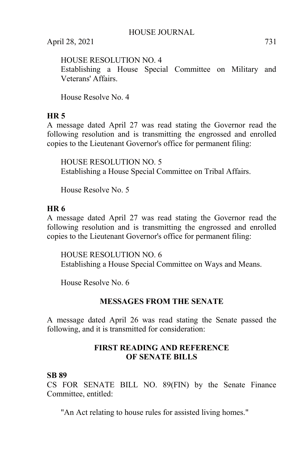HOUSE RESOLUTION NO. 4

Establishing a House Special Committee on Military and Veterans' Affairs.

House Resolve No. 4

## **HR 5**

A message dated April 27 was read stating the Governor read the following resolution and is transmitting the engrossed and enrolled copies to the Lieutenant Governor's office for permanent filing:

HOUSE RESOLUTION NO. 5 Establishing a House Special Committee on Tribal Affairs.

House Resolve No. 5

### **HR 6**

A message dated April 27 was read stating the Governor read the following resolution and is transmitting the engrossed and enrolled copies to the Lieutenant Governor's office for permanent filing:

HOUSE RESOLUTION NO. 6 Establishing a House Special Committee on Ways and Means.

House Resolve No. 6

### **MESSAGES FROM THE SENATE**

A message dated April 26 was read stating the Senate passed the following, and it is transmitted for consideration:

### **FIRST READING AND REFERENCE OF SENATE BILLS**

### **SB 89**

CS FOR SENATE BILL NO. 89(FIN) by the Senate Finance Committee, entitled:

"An Act relating to house rules for assisted living homes."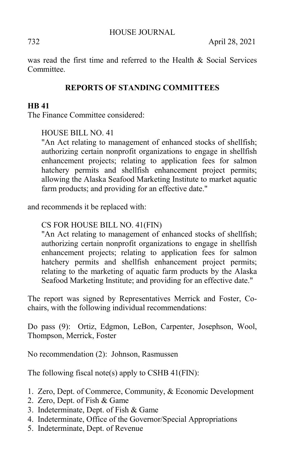732 April 28, 2021

was read the first time and referred to the Health & Social Services Committee.

## **REPORTS OF STANDING COMMITTEES**

### **HB 41**

The Finance Committee considered:

HOUSE BILL NO. 41

"An Act relating to management of enhanced stocks of shellfish; authorizing certain nonprofit organizations to engage in shellfish enhancement projects; relating to application fees for salmon hatchery permits and shellfish enhancement project permits; allowing the Alaska Seafood Marketing Institute to market aquatic farm products; and providing for an effective date."

and recommends it be replaced with:

### CS FOR HOUSE BILL NO. 41(FIN)

"An Act relating to management of enhanced stocks of shellfish; authorizing certain nonprofit organizations to engage in shellfish enhancement projects; relating to application fees for salmon hatchery permits and shellfish enhancement project permits; relating to the marketing of aquatic farm products by the Alaska Seafood Marketing Institute; and providing for an effective date."

The report was signed by Representatives Merrick and Foster, Cochairs, with the following individual recommendations:

Do pass (9): Ortiz, Edgmon, LeBon, Carpenter, Josephson, Wool, Thompson, Merrick, Foster

No recommendation (2): Johnson, Rasmussen

The following fiscal note(s) apply to CSHB 41(FIN):

- 1. Zero, Dept. of Commerce, Community, & Economic Development
- 2. Zero, Dept. of Fish & Game
- 3. Indeterminate, Dept. of Fish & Game
- 4. Indeterminate, Office of the Governor/Special Appropriations
- 5. Indeterminate, Dept. of Revenue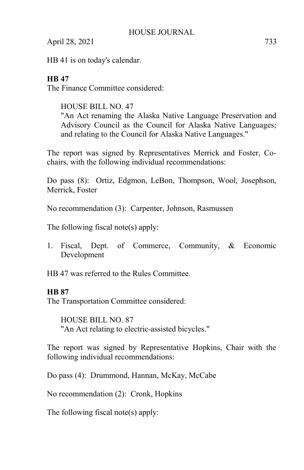HB 41 is on today's calendar.

## **HB 47**

The Finance Committee considered:

HOUSE BILL NO. 47 "An Act renaming the Alaska Native Language Preservation and Advisory Council as the Council for Alaska Native Languages; and relating to the Council for Alaska Native Languages."

The report was signed by Representatives Merrick and Foster, Cochairs, with the following individual recommendations:

Do pass (8): Ortiz, Edgmon, LeBon, Thompson, Wool, Josephson, Merrick, Foster

No recommendation (3): Carpenter, Johnson, Rasmussen

The following fiscal note(s) apply:

1. Fiscal, Dept. of Commerce, Community, & Economic Development

HB 47 was referred to the Rules Committee.

### **HB 87**

The Transportation Committee considered:

HOUSE BILL NO. 87 "An Act relating to electric-assisted bicycles."

The report was signed by Representative Hopkins, Chair with the following individual recommendations:

Do pass (4): Drummond, Hannan, McKay, McCabe

No recommendation (2): Cronk, Hopkins

The following fiscal note(s) apply: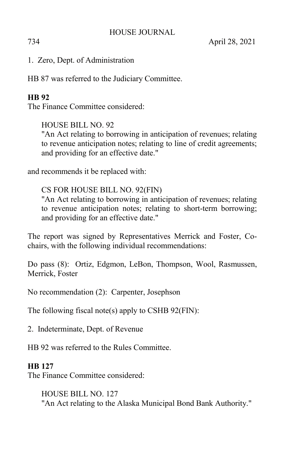1. Zero, Dept. of Administration

HB 87 was referred to the Judiciary Committee.

## **HB 92**

The Finance Committee considered:

HOUSE BILL NO. 92

"An Act relating to borrowing in anticipation of revenues; relating to revenue anticipation notes; relating to line of credit agreements; and providing for an effective date."

and recommends it be replaced with:

CS FOR HOUSE BILL NO. 92(FIN)

"An Act relating to borrowing in anticipation of revenues; relating to revenue anticipation notes; relating to short-term borrowing; and providing for an effective date."

The report was signed by Representatives Merrick and Foster, Cochairs, with the following individual recommendations:

Do pass (8): Ortiz, Edgmon, LeBon, Thompson, Wool, Rasmussen, Merrick, Foster

No recommendation (2): Carpenter, Josephson

The following fiscal note(s) apply to CSHB 92(FIN):

2. Indeterminate, Dept. of Revenue

HB 92 was referred to the Rules Committee.

### **HB 127**

The Finance Committee considered:

HOUSE BILL NO. 127 "An Act relating to the Alaska Municipal Bond Bank Authority."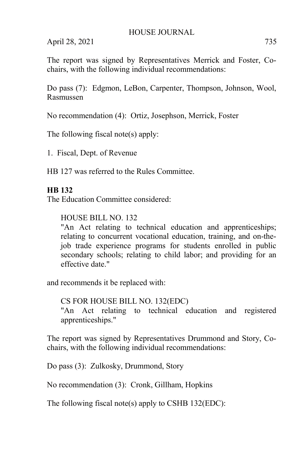The report was signed by Representatives Merrick and Foster, Cochairs, with the following individual recommendations:

Do pass (7): Edgmon, LeBon, Carpenter, Thompson, Johnson, Wool, Rasmussen

No recommendation (4): Ortiz, Josephson, Merrick, Foster

The following fiscal note(s) apply:

1. Fiscal, Dept. of Revenue

HB 127 was referred to the Rules Committee.

#### **HB 132**

The Education Committee considered:

#### HOUSE BILL NO. 132

"An Act relating to technical education and apprenticeships; relating to concurrent vocational education, training, and on-thejob trade experience programs for students enrolled in public secondary schools; relating to child labor; and providing for an effective date."

and recommends it be replaced with:

CS FOR HOUSE BILL NO. 132(EDC) "An Act relating to technical education and registered apprenticeships."

The report was signed by Representatives Drummond and Story, Cochairs, with the following individual recommendations:

Do pass (3): Zulkosky, Drummond, Story

No recommendation (3): Cronk, Gillham, Hopkins

The following fiscal note(s) apply to CSHB 132(EDC):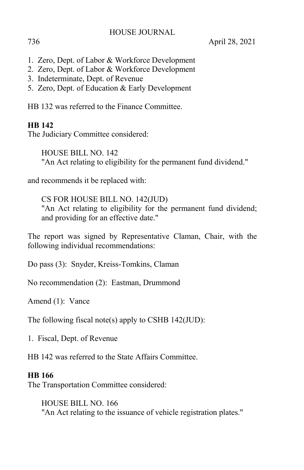736 April 28, 2021

- 1. Zero, Dept. of Labor & Workforce Development
- 2. Zero, Dept. of Labor & Workforce Development
- 3. Indeterminate, Dept. of Revenue
- 5. Zero, Dept. of Education & Early Development

HB 132 was referred to the Finance Committee.

### **HB 142**

The Judiciary Committee considered:

HOUSE BILL NO. 142 "An Act relating to eligibility for the permanent fund dividend."

and recommends it be replaced with:

CS FOR HOUSE BILL NO. 142(JUD) "An Act relating to eligibility for the permanent fund dividend; and providing for an effective date."

The report was signed by Representative Claman, Chair, with the following individual recommendations:

Do pass (3): Snyder, Kreiss-Tomkins, Claman

No recommendation (2): Eastman, Drummond

Amend (1): Vance

The following fiscal note(s) apply to CSHB 142(JUD):

1. Fiscal, Dept. of Revenue

HB 142 was referred to the State Affairs Committee.

### **HB 166**

The Transportation Committee considered:

HOUSE BILL NO. 166 "An Act relating to the issuance of vehicle registration plates."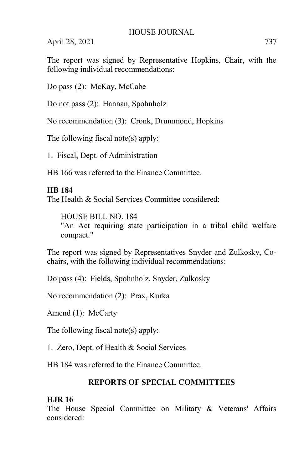The report was signed by Representative Hopkins, Chair, with the following individual recommendations:

Do pass (2): McKay, McCabe

Do not pass (2): Hannan, Spohnholz

No recommendation (3): Cronk, Drummond, Hopkins

The following fiscal note(s) apply:

1. Fiscal, Dept. of Administration

HB 166 was referred to the Finance Committee.

### **HB 184**

The Health & Social Services Committee considered:

HOUSE BILL NO. 184 "An Act requiring state participation in a tribal child welfare compact."

The report was signed by Representatives Snyder and Zulkosky, Cochairs, with the following individual recommendations:

Do pass (4): Fields, Spohnholz, Snyder, Zulkosky

No recommendation (2): Prax, Kurka

Amend (1): McCarty

The following fiscal note(s) apply:

1. Zero, Dept. of Health & Social Services

HB 184 was referred to the Finance Committee.

## **REPORTS OF SPECIAL COMMITTEES**

### **HJR 16**

The House Special Committee on Military & Veterans' Affairs considered: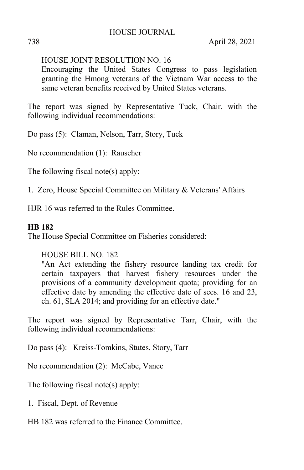738 April 28, 2021

### HOUSE JOINT RESOLUTION NO. 16

Encouraging the United States Congress to pass legislation granting the Hmong veterans of the Vietnam War access to the same veteran benefits received by United States veterans.

The report was signed by Representative Tuck, Chair, with the following individual recommendations:

Do pass (5): Claman, Nelson, Tarr, Story, Tuck

No recommendation (1): Rauscher

The following fiscal note(s) apply:

1. Zero, House Special Committee on Military & Veterans' Affairs

HJR 16 was referred to the Rules Committee.

#### **HB 182**

The House Special Committee on Fisheries considered:

#### HOUSE BILL NO. 182

"An Act extending the fishery resource landing tax credit for certain taxpayers that harvest fishery resources under the provisions of a community development quota; providing for an effective date by amending the effective date of secs. 16 and 23, ch. 61, SLA 2014; and providing for an effective date."

The report was signed by Representative Tarr, Chair, with the following individual recommendations:

Do pass (4): Kreiss-Tomkins, Stutes, Story, Tarr

No recommendation (2): McCabe, Vance

The following fiscal note(s) apply:

1. Fiscal, Dept. of Revenue

HB 182 was referred to the Finance Committee.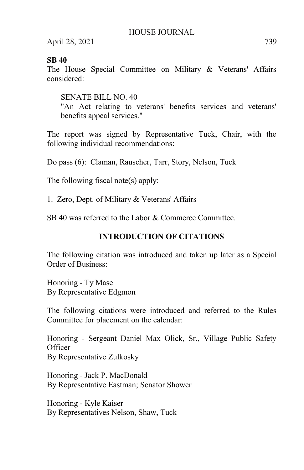#### **SB 40**

The House Special Committee on Military & Veterans' Affairs considered:

SENATE BILL NO. 40 "An Act relating to veterans' benefits services and veterans' benefits appeal services."

The report was signed by Representative Tuck, Chair, with the following individual recommendations:

Do pass (6): Claman, Rauscher, Tarr, Story, Nelson, Tuck

The following fiscal note(s) apply:

1. Zero, Dept. of Military & Veterans' Affairs

SB 40 was referred to the Labor & Commerce Committee.

## **INTRODUCTION OF CITATIONS**

The following citation was introduced and taken up later as a Special Order of Business:

Honoring - Ty Mase By Representative Edgmon

The following citations were introduced and referred to the Rules Committee for placement on the calendar:

Honoring - Sergeant Daniel Max Olick, Sr., Village Public Safety **Officer** By Representative Zulkosky

Honoring - Jack P. MacDonald By Representative Eastman; Senator Shower

Honoring - Kyle Kaiser By Representatives Nelson, Shaw, Tuck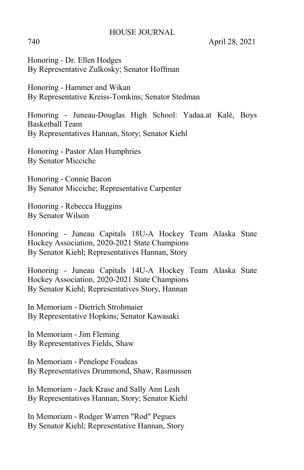740 April 28, 2021

Honoring - Dr. Ellen Hodges By Representative Zulkosky; Senator Hoffman

Honoring - Hammer and Wikan By Representative Kreiss-Tomkins; Senator Stedman

Honoring - Juneau-Douglas High School: Yadaa.at Kalé, Boys Basketball Team By Representatives Hannan, Story; Senator Kiehl

Honoring - Pastor Alan Humphries By Senator Micciche

Honoring - Connie Bacon By Senator Micciche; Representative Carpenter

Honoring - Rebecca Huggins By Senator Wilson

Honoring - Juneau Capitals 18U-A Hockey Team Alaska State Hockey Association, 2020-2021 State Champions By Senator Kiehl; Representatives Hannan, Story

Honoring - Juneau Capitals 14U-A Hockey Team Alaska State Hockey Association, 2020-2021 State Champions By Senator Kiehl; Representatives Story, Hannan

In Memoriam - Dietrich Strohmaier By Representative Hopkins; Senator Kawasaki

In Memoriam - Jim Fleming By Representatives Fields, Shaw

In Memoriam - Penelope Foudeas By Representatives Drummond, Shaw, Rasmussen

In Memoriam - Jack Krase and Sally Ann Lesh By Representatives Hannan, Story; Senator Kiehl

In Memoriam - Rodger Warren "Rod" Pegues By Senator Kiehl; Representative Hannan, Story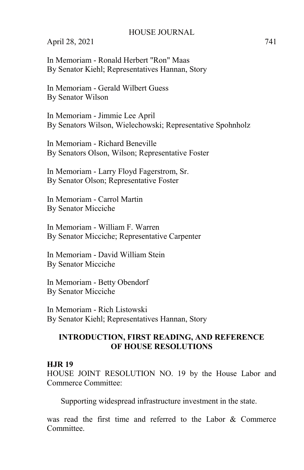April 28, 2021 741

In Memoriam - Ronald Herbert "Ron" Maas By Senator Kiehl; Representatives Hannan, Story

In Memoriam - Gerald Wilbert Guess By Senator Wilson

In Memoriam - Jimmie Lee April By Senators Wilson, Wielechowski; Representative Spohnholz

In Memoriam - Richard Beneville By Senators Olson, Wilson; Representative Foster

In Memoriam - Larry Floyd Fagerstrom, Sr. By Senator Olson; Representative Foster

In Memoriam - Carrol Martin By Senator Micciche

In Memoriam - William F. Warren By Senator Micciche; Representative Carpenter

In Memoriam - David William Stein By Senator Micciche

In Memoriam - Betty Obendorf By Senator Micciche

In Memoriam - Rich Listowski By Senator Kiehl; Representatives Hannan, Story

#### **INTRODUCTION, FIRST READING, AND REFERENCE OF HOUSE RESOLUTIONS**

#### **HJR 19**

HOUSE JOINT RESOLUTION NO. 19 by the House Labor and Commerce Committee:

Supporting widespread infrastructure investment in the state.

was read the first time and referred to the Labor & Commerce Committee.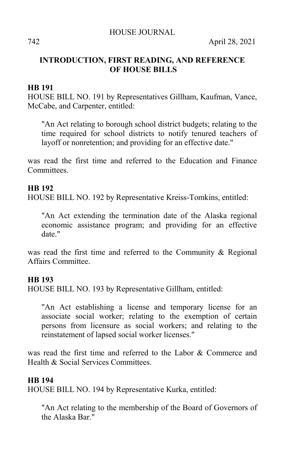### **INTRODUCTION, FIRST READING, AND REFERENCE OF HOUSE BILLS**

#### **HB 191**

HOUSE BILL NO. 191 by Representatives Gillham, Kaufman, Vance, McCabe, and Carpenter, entitled:

"An Act relating to borough school district budgets; relating to the time required for school districts to notify tenured teachers of layoff or nonretention; and providing for an effective date."

was read the first time and referred to the Education and Finance **Committees** 

#### **HB 192**

HOUSE BILL NO. 192 by Representative Kreiss-Tomkins, entitled:

"An Act extending the termination date of the Alaska regional economic assistance program; and providing for an effective date."

was read the first time and referred to the Community & Regional Affairs Committee.

#### **HB 193**

HOUSE BILL NO. 193 by Representative Gillham, entitled:

"An Act establishing a license and temporary license for an associate social worker; relating to the exemption of certain persons from licensure as social workers; and relating to the reinstatement of lapsed social worker licenses."

was read the first time and referred to the Labor & Commerce and Health & Social Services Committees.

#### **HB 194**

HOUSE BILL NO. 194 by Representative Kurka, entitled:

"An Act relating to the membership of the Board of Governors of the Alaska Bar."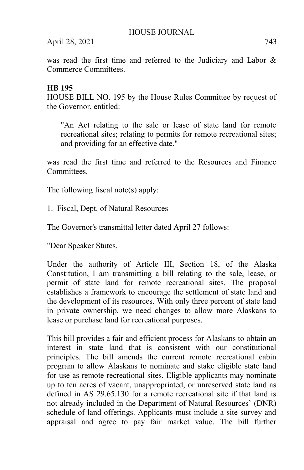was read the first time and referred to the Judiciary and Labor & Commerce Committees.

### **HB 195**

HOUSE BILL NO. 195 by the House Rules Committee by request of the Governor, entitled:

"An Act relating to the sale or lease of state land for remote recreational sites; relating to permits for remote recreational sites; and providing for an effective date."

was read the first time and referred to the Resources and Finance **Committees** 

The following fiscal note(s) apply:

1. Fiscal, Dept. of Natural Resources

The Governor's transmittal letter dated April 27 follows:

"Dear Speaker Stutes,

Under the authority of Article III, Section 18, of the Alaska Constitution, I am transmitting a bill relating to the sale, lease, or permit of state land for remote recreational sites. The proposal establishes a framework to encourage the settlement of state land and the development of its resources. With only three percent of state land in private ownership, we need changes to allow more Alaskans to lease or purchase land for recreational purposes.

This bill provides a fair and efficient process for Alaskans to obtain an interest in state land that is consistent with our constitutional principles. The bill amends the current remote recreational cabin program to allow Alaskans to nominate and stake eligible state land for use as remote recreational sites. Eligible applicants may nominate up to ten acres of vacant, unappropriated, or unreserved state land as defined in AS 29.65.130 for a remote recreational site if that land is not already included in the Department of Natural Resources' (DNR) schedule of land offerings. Applicants must include a site survey and appraisal and agree to pay fair market value. The bill further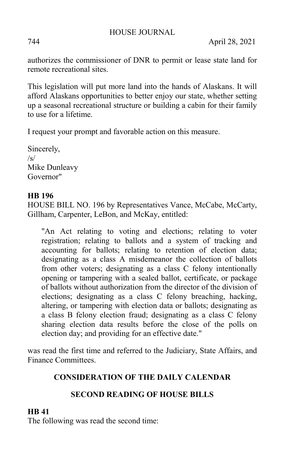744 April 28, 2021

authorizes the commissioner of DNR to permit or lease state land for remote recreational sites.

This legislation will put more land into the hands of Alaskans. It will afford Alaskans opportunities to better enjoy our state, whether setting up a seasonal recreational structure or building a cabin for their family to use for a lifetime.

I request your prompt and favorable action on this measure.

Sincerely,  $\sqrt{s}$ Mike Dunleavy Governor"

### **HB 196**

HOUSE BILL NO. 196 by Representatives Vance, McCabe, McCarty, Gillham, Carpenter, LeBon, and McKay, entitled:

"An Act relating to voting and elections; relating to voter registration; relating to ballots and a system of tracking and accounting for ballots; relating to retention of election data; designating as a class A misdemeanor the collection of ballots from other voters; designating as a class C felony intentionally opening or tampering with a sealed ballot, certificate, or package of ballots without authorization from the director of the division of elections; designating as a class C felony breaching, hacking, altering, or tampering with election data or ballots; designating as a class B felony election fraud; designating as a class C felony sharing election data results before the close of the polls on election day; and providing for an effective date."

was read the first time and referred to the Judiciary, State Affairs, and Finance Committees.

### **CONSIDERATION OF THE DAILY CALENDAR**

## **SECOND READING OF HOUSE BILLS**

### **HB 41**

The following was read the second time: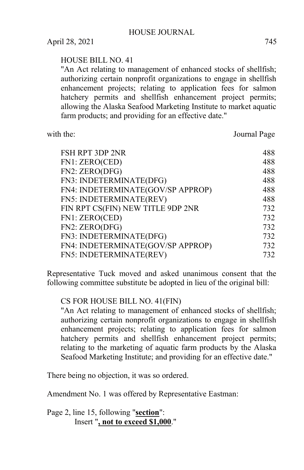#### HOUSE BILL NO. 41

"An Act relating to management of enhanced stocks of shellfish; authorizing certain nonprofit organizations to engage in shellfish enhancement projects; relating to application fees for salmon hatchery permits and shellfish enhancement project permits; allowing the Alaska Seafood Marketing Institute to market aquatic farm products; and providing for an effective date."

with the: Journal Page

| FSH RPT 3DP 2NR                   | 488 |
|-----------------------------------|-----|
| FN1: ZERO(CED)                    | 488 |
| FN2: ZERO(DFG)                    | 488 |
| FN3: INDETERMINATE(DFG)           | 488 |
| FN4: INDETERMINATE(GOV/SP APPROP) | 488 |
| FN5: INDETERMINATE(REV)           | 488 |
| FIN RPT CS(FIN) NEW TITLE 9DP 2NR | 732 |
| FN1: ZERO(CED)                    | 732 |
| FN2: ZERO(DFG)                    | 732 |
| FN3: INDETERMINATE(DFG)           | 732 |
| FN4: INDETERMINATE(GOV/SP APPROP) | 732 |
| FN5: INDETERMINATE(REV)           | 732 |
|                                   |     |

Representative Tuck moved and asked unanimous consent that the following committee substitute be adopted in lieu of the original bill:

### CS FOR HOUSE BILL NO. 41(FIN)

"An Act relating to management of enhanced stocks of shellfish; authorizing certain nonprofit organizations to engage in shellfish enhancement projects; relating to application fees for salmon hatchery permits and shellfish enhancement project permits; relating to the marketing of aquatic farm products by the Alaska Seafood Marketing Institute; and providing for an effective date."

There being no objection, it was so ordered.

Amendment No. 1 was offered by Representative Eastman:

Page 2, line 15, following "**section**": Insert "**, not to exceed \$1,000**."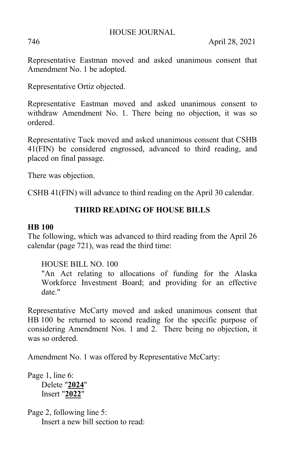746 April 28, 2021

Representative Eastman moved and asked unanimous consent that Amendment No. 1 be adopted.

Representative Ortiz objected.

Representative Eastman moved and asked unanimous consent to withdraw Amendment No. 1. There being no objection, it was so ordered.

Representative Tuck moved and asked unanimous consent that CSHB 41(FIN) be considered engrossed, advanced to third reading, and placed on final passage.

There was objection.

CSHB 41(FIN) will advance to third reading on the April 30 calendar.

## **THIRD READING OF HOUSE BILLS**

### **HB 100**

The following, which was advanced to third reading from the April 26 calendar (page 721), was read the third time:

HOUSE BILL NO. 100

"An Act relating to allocations of funding for the Alaska Workforce Investment Board; and providing for an effective date."

Representative McCarty moved and asked unanimous consent that HB 100 be returned to second reading for the specific purpose of considering Amendment Nos. 1 and 2. There being no objection, it was so ordered.

Amendment No. 1 was offered by Representative McCarty:

Page 1, line 6: Delete "**2024**" Insert "**2022**"

Page 2, following line 5: Insert a new bill section to read: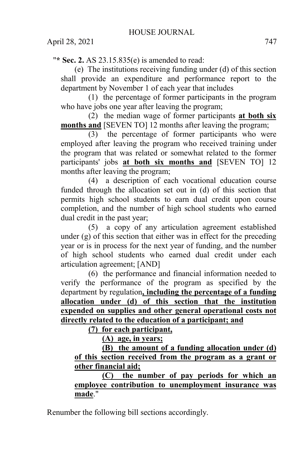"**\* Sec. 2.** AS 23.15.835(e) is amended to read:

(e) The institutions receiving funding under (d) of this section shall provide an expenditure and performance report to the department by November 1 of each year that includes

(1) the percentage of former participants in the program who have jobs one year after leaving the program;

(2) the median wage of former participants **at both six months and** [SEVEN TO] 12 months after leaving the program;

(3) the percentage of former participants who were employed after leaving the program who received training under the program that was related or somewhat related to the former participants' jobs **at both six months and** [SEVEN TO] 12 months after leaving the program;

(4) a description of each vocational education course funded through the allocation set out in (d) of this section that permits high school students to earn dual credit upon course completion, and the number of high school students who earned dual credit in the past year;

(5) a copy of any articulation agreement established under (g) of this section that either was in effect for the preceding year or is in process for the next year of funding, and the number of high school students who earned dual credit under each articulation agreement; [AND]

(6) the performance and financial information needed to verify the performance of the program as specified by the department by regulation**, including the percentage of a funding allocation under (d) of this section that the institution expended on supplies and other general operational costs not directly related to the education of a participant; and** 

**(7) for each participant,** 

**(A) age, in years;** 

**(B) the amount of a funding allocation under (d) of this section received from the program as a grant or other financial aid;** 

**(C) the number of pay periods for which an employee contribution to unemployment insurance was made**."

Renumber the following bill sections accordingly.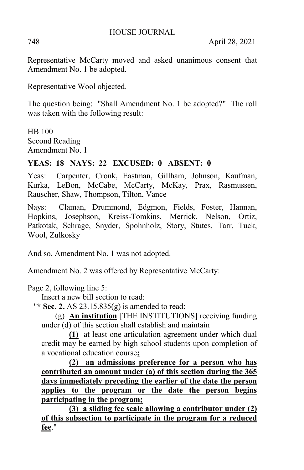748 April 28, 2021

Representative McCarty moved and asked unanimous consent that Amendment No. 1 be adopted.

Representative Wool objected.

The question being: "Shall Amendment No. 1 be adopted?" The roll was taken with the following result:

HB 100 Second Reading Amendment No. 1

## **YEAS: 18 NAYS: 22 EXCUSED: 0 ABSENT: 0**

Yeas: Carpenter, Cronk, Eastman, Gillham, Johnson, Kaufman, Kurka, LeBon, McCabe, McCarty, McKay, Prax, Rasmussen, Rauscher, Shaw, Thompson, Tilton, Vance

Nays: Claman, Drummond, Edgmon, Fields, Foster, Hannan, Hopkins, Josephson, Kreiss-Tomkins, Merrick, Nelson, Ortiz, Patkotak, Schrage, Snyder, Spohnholz, Story, Stutes, Tarr, Tuck, Wool, Zulkosky

And so, Amendment No. 1 was not adopted.

Amendment No. 2 was offered by Representative McCarty:

Page 2, following line 5:

Insert a new bill section to read:

"**\* Sec. 2.** AS 23.15.835(g) is amended to read:

(g) **An institution** [THE INSTITUTIONS] receiving funding under (d) of this section shall establish and maintain

**(1)** at least one articulation agreement under which dual credit may be earned by high school students upon completion of a vocational education course**;** 

**(2) an admissions preference for a person who has contributed an amount under (a) of this section during the 365 days immediately preceding the earlier of the date the person applies to the program or the date the person begins participating in the program;** 

**(3) a sliding fee scale allowing a contributor under (2) of this subsection to participate in the program for a reduced fee**."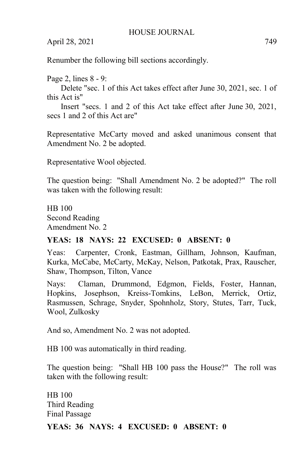Renumber the following bill sections accordingly.

Page 2, lines 8 - 9:

Delete "sec. 1 of this Act takes effect after June 30, 2021, sec. 1 of this Act is"

Insert "secs. 1 and 2 of this Act take effect after June 30, 2021, secs 1 and 2 of this Act are"

Representative McCarty moved and asked unanimous consent that Amendment No. 2 be adopted.

Representative Wool objected.

The question being: "Shall Amendment No. 2 be adopted?" The roll was taken with the following result:

HB 100 Second Reading Amendment No. 2

#### **YEAS: 18 NAYS: 22 EXCUSED: 0 ABSENT: 0**

Yeas: Carpenter, Cronk, Eastman, Gillham, Johnson, Kaufman, Kurka, McCabe, McCarty, McKay, Nelson, Patkotak, Prax, Rauscher, Shaw, Thompson, Tilton, Vance

Nays: Claman, Drummond, Edgmon, Fields, Foster, Hannan, Hopkins, Josephson, Kreiss-Tomkins, LeBon, Merrick, Ortiz, Rasmussen, Schrage, Snyder, Spohnholz, Story, Stutes, Tarr, Tuck, Wool, Zulkosky

And so, Amendment No. 2 was not adopted.

HB 100 was automatically in third reading.

The question being: "Shall HB 100 pass the House?" The roll was taken with the following result:

HB 100 Third Reading Final Passage

**YEAS: 36 NAYS: 4 EXCUSED: 0 ABSENT: 0**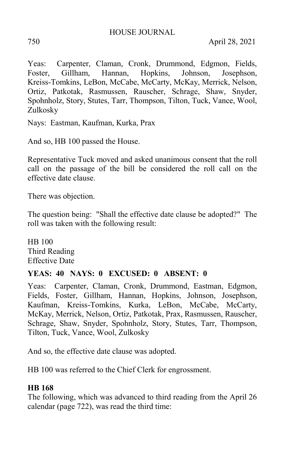Yeas: Carpenter, Claman, Cronk, Drummond, Edgmon, Fields, Foster, Gillham, Hannan, Hopkins, Johnson, Josephson, Kreiss-Tomkins, LeBon, McCabe, McCarty, McKay, Merrick, Nelson, Ortiz, Patkotak, Rasmussen, Rauscher, Schrage, Shaw, Snyder, Spohnholz, Story, Stutes, Tarr, Thompson, Tilton, Tuck, Vance, Wool, Zulkosky

Nays: Eastman, Kaufman, Kurka, Prax

And so, HB 100 passed the House.

Representative Tuck moved and asked unanimous consent that the roll call on the passage of the bill be considered the roll call on the effective date clause.

There was objection.

The question being: "Shall the effective date clause be adopted?" The roll was taken with the following result:

HB 100 Third Reading Effective Date

### **YEAS: 40 NAYS: 0 EXCUSED: 0 ABSENT: 0**

Yeas: Carpenter, Claman, Cronk, Drummond, Eastman, Edgmon, Fields, Foster, Gillham, Hannan, Hopkins, Johnson, Josephson, Kaufman, Kreiss-Tomkins, Kurka, LeBon, McCabe, McCarty, McKay, Merrick, Nelson, Ortiz, Patkotak, Prax, Rasmussen, Rauscher, Schrage, Shaw, Snyder, Spohnholz, Story, Stutes, Tarr, Thompson, Tilton, Tuck, Vance, Wool, Zulkosky

And so, the effective date clause was adopted.

HB 100 was referred to the Chief Clerk for engrossment.

### **HB 168**

The following, which was advanced to third reading from the April 26 calendar (page 722), was read the third time: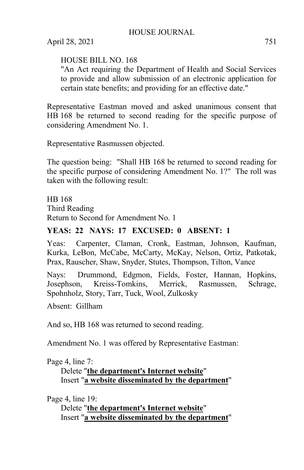### HOUSE BILL NO. 168

"An Act requiring the Department of Health and Social Services to provide and allow submission of an electronic application for certain state benefits; and providing for an effective date."

Representative Eastman moved and asked unanimous consent that HB 168 be returned to second reading for the specific purpose of considering Amendment No. 1.

Representative Rasmussen objected.

The question being: "Shall HB 168 be returned to second reading for the specific purpose of considering Amendment No. 1?" The roll was taken with the following result:

HB 168 Third Reading Return to Second for Amendment No. 1

### **YEAS: 22 NAYS: 17 EXCUSED: 0 ABSENT: 1**

Yeas: Carpenter, Claman, Cronk, Eastman, Johnson, Kaufman, Kurka, LeBon, McCabe, McCarty, McKay, Nelson, Ortiz, Patkotak, Prax, Rauscher, Shaw, Snyder, Stutes, Thompson, Tilton, Vance

Nays: Drummond, Edgmon, Fields, Foster, Hannan, Hopkins, Josephson, Kreiss-Tomkins, Merrick, Rasmussen, Schrage, Spohnholz, Story, Tarr, Tuck, Wool, Zulkosky

Absent: Gillham

And so, HB 168 was returned to second reading.

Amendment No. 1 was offered by Representative Eastman:

Page 4, line 7:

Delete "**the department's Internet website**" Insert "**a website disseminated by the department**"

Page 4, line 19:

Delete "**the department's Internet website**" Insert "**a website disseminated by the department**"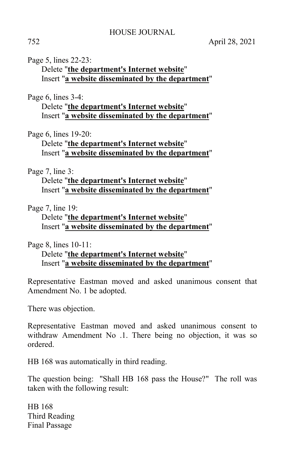#### Page 5, lines 22-23:

Delete "**the department's Internet website**" Insert "**a website disseminated by the department**"

#### Page 6, lines 3-4:

Delete "**the department's Internet website**" Insert "**a website disseminated by the department**"

#### Page 6, lines 19-20:

Delete "**the department's Internet website**" Insert "**a website disseminated by the department**"

#### Page 7, line 3:

Delete "**the department's Internet website**" Insert "**a website disseminated by the department**"

Page 7, line 19:

Delete "**the department's Internet website**" Insert "**a website disseminated by the department**"

Page 8, lines 10-11:

Delete "**the department's Internet website**" Insert "**a website disseminated by the department**"

Representative Eastman moved and asked unanimous consent that Amendment No. 1 be adopted.

There was objection.

Representative Eastman moved and asked unanimous consent to withdraw Amendment No .1. There being no objection, it was so ordered.

HB 168 was automatically in third reading.

The question being: "Shall HB 168 pass the House?" The roll was taken with the following result:

HB 168 Third Reading Final Passage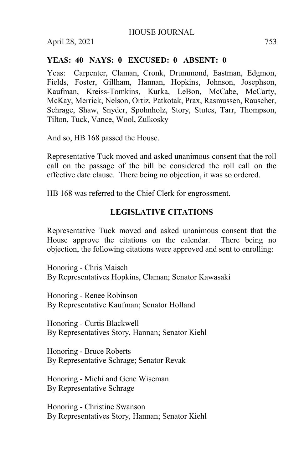#### **YEAS: 40 NAYS: 0 EXCUSED: 0 ABSENT: 0**

Yeas: Carpenter, Claman, Cronk, Drummond, Eastman, Edgmon, Fields, Foster, Gillham, Hannan, Hopkins, Johnson, Josephson, Kaufman, Kreiss-Tomkins, Kurka, LeBon, McCabe, McCarty, McKay, Merrick, Nelson, Ortiz, Patkotak, Prax, Rasmussen, Rauscher, Schrage, Shaw, Snyder, Spohnholz, Story, Stutes, Tarr, Thompson, Tilton, Tuck, Vance, Wool, Zulkosky

And so, HB 168 passed the House.

Representative Tuck moved and asked unanimous consent that the roll call on the passage of the bill be considered the roll call on the effective date clause. There being no objection, it was so ordered.

HB 168 was referred to the Chief Clerk for engrossment.

#### **LEGISLATIVE CITATIONS**

Representative Tuck moved and asked unanimous consent that the House approve the citations on the calendar. There being no objection, the following citations were approved and sent to enrolling:

Honoring - Chris Maisch By Representatives Hopkins, Claman; Senator Kawasaki

Honoring - Renee Robinson By Representative Kaufman; Senator Holland

Honoring - Curtis Blackwell By Representatives Story, Hannan; Senator Kiehl

Honoring - Bruce Roberts By Representative Schrage; Senator Revak

Honoring - Michi and Gene Wiseman By Representative Schrage

Honoring - Christine Swanson By Representatives Story, Hannan; Senator Kiehl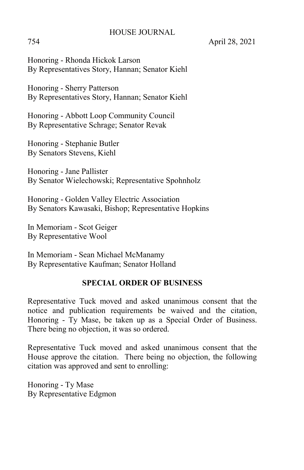754 April 28, 2021

Honoring - Rhonda Hickok Larson By Representatives Story, Hannan; Senator Kiehl

Honoring - Sherry Patterson By Representatives Story, Hannan; Senator Kiehl

Honoring - Abbott Loop Community Council By Representative Schrage; Senator Revak

Honoring - Stephanie Butler By Senators Stevens, Kiehl

Honoring - Jane Pallister By Senator Wielechowski; Representative Spohnholz

Honoring - Golden Valley Electric Association By Senators Kawasaki, Bishop; Representative Hopkins

In Memoriam - Scot Geiger By Representative Wool

In Memoriam - Sean Michael McManamy By Representative Kaufman; Senator Holland

### **SPECIAL ORDER OF BUSINESS**

Representative Tuck moved and asked unanimous consent that the notice and publication requirements be waived and the citation, Honoring - Ty Mase, be taken up as a Special Order of Business. There being no objection, it was so ordered.

Representative Tuck moved and asked unanimous consent that the House approve the citation. There being no objection, the following citation was approved and sent to enrolling:

Honoring - Ty Mase By Representative Edgmon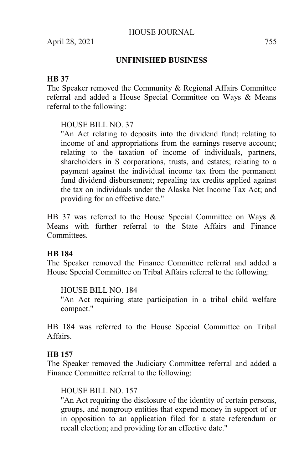### **UNFINISHED BUSINESS**

#### **HB 37**

The Speaker removed the Community & Regional Affairs Committee referral and added a House Special Committee on Ways & Means referral to the following:

### HOUSE BILL NO. 37

"An Act relating to deposits into the dividend fund; relating to income of and appropriations from the earnings reserve account; relating to the taxation of income of individuals, partners, shareholders in S corporations, trusts, and estates; relating to a payment against the individual income tax from the permanent fund dividend disbursement; repealing tax credits applied against the tax on individuals under the Alaska Net Income Tax Act; and providing for an effective date."

HB 37 was referred to the House Special Committee on Ways & Means with further referral to the State Affairs and Finance **Committees** 

#### **HB 184**

The Speaker removed the Finance Committee referral and added a House Special Committee on Tribal Affairs referral to the following:

HOUSE BILL NO. 184

"An Act requiring state participation in a tribal child welfare compact."

HB 184 was referred to the House Special Committee on Tribal Affairs.

#### **HB 157**

The Speaker removed the Judiciary Committee referral and added a Finance Committee referral to the following:

### HOUSE BILL NO. 157

"An Act requiring the disclosure of the identity of certain persons, groups, and nongroup entities that expend money in support of or in opposition to an application filed for a state referendum or recall election; and providing for an effective date."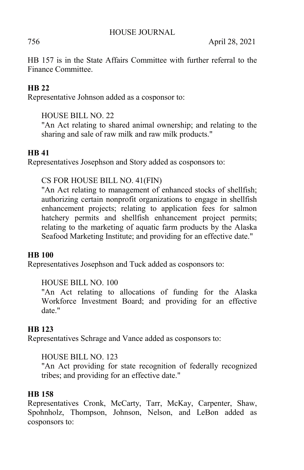756 April 28, 2021

HB 157 is in the State Affairs Committee with further referral to the Finance Committee.

## **HB 22**

Representative Johnson added as a cosponsor to:

## HOUSE BILL NO. 22

"An Act relating to shared animal ownership; and relating to the sharing and sale of raw milk and raw milk products."

## **HB 41**

Representatives Josephson and Story added as cosponsors to:

## CS FOR HOUSE BILL NO. 41(FIN)

"An Act relating to management of enhanced stocks of shellfish; authorizing certain nonprofit organizations to engage in shellfish enhancement projects; relating to application fees for salmon hatchery permits and shellfish enhancement project permits; relating to the marketing of aquatic farm products by the Alaska Seafood Marketing Institute; and providing for an effective date."

### **HB 100**

Representatives Josephson and Tuck added as cosponsors to:

### HOUSE BILL NO. 100

"An Act relating to allocations of funding for the Alaska Workforce Investment Board; and providing for an effective date."

### **HB 123**

Representatives Schrage and Vance added as cosponsors to:

### HOUSE BILL NO. 123

"An Act providing for state recognition of federally recognized tribes; and providing for an effective date."

### **HB 158**

Representatives Cronk, McCarty, Tarr, McKay, Carpenter, Shaw, Spohnholz, Thompson, Johnson, Nelson, and LeBon added as cosponsors to: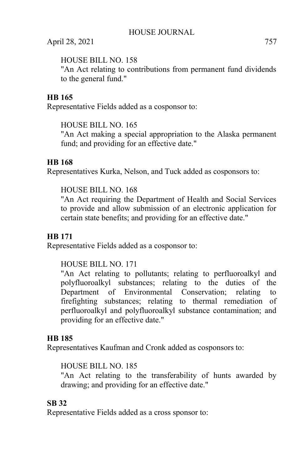### HOUSE BILL NO. 158

"An Act relating to contributions from permanent fund dividends to the general fund."

### **HB 165**

Representative Fields added as a cosponsor to:

HOUSE BILL NO. 165

"An Act making a special appropriation to the Alaska permanent fund; and providing for an effective date."

### **HB 168**

Representatives Kurka, Nelson, and Tuck added as cosponsors to:

### HOUSE BILL NO. 168

"An Act requiring the Department of Health and Social Services to provide and allow submission of an electronic application for certain state benefits; and providing for an effective date."

### **HB 171**

Representative Fields added as a cosponsor to:

### HOUSE BILL NO. 171

"An Act relating to pollutants; relating to perfluoroalkyl and polyfluoroalkyl substances; relating to the duties of the Department of Environmental Conservation; relating to firefighting substances; relating to thermal remediation of perfluoroalkyl and polyfluoroalkyl substance contamination; and providing for an effective date."

### **HB 185**

Representatives Kaufman and Cronk added as cosponsors to:

### HOUSE BILL NO. 185

"An Act relating to the transferability of hunts awarded by drawing; and providing for an effective date."

### **SB 32**

Representative Fields added as a cross sponsor to: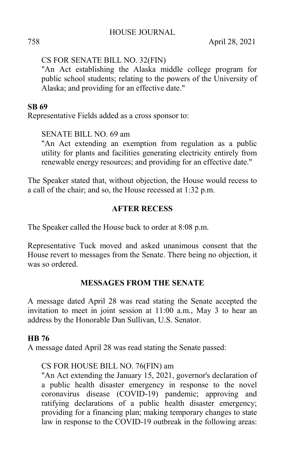### CS FOR SENATE BILL NO. 32(FIN)

"An Act establishing the Alaska middle college program for public school students; relating to the powers of the University of Alaska; and providing for an effective date."

### **SB 69**

Representative Fields added as a cross sponsor to:

### SENATE BILL NO. 69 am

"An Act extending an exemption from regulation as a public utility for plants and facilities generating electricity entirely from renewable energy resources; and providing for an effective date."

The Speaker stated that, without objection, the House would recess to a call of the chair; and so, the House recessed at 1:32 p.m.

### **AFTER RECESS**

The Speaker called the House back to order at 8:08 p.m.

Representative Tuck moved and asked unanimous consent that the House revert to messages from the Senate. There being no objection, it was so ordered.

### **MESSAGES FROM THE SENATE**

A message dated April 28 was read stating the Senate accepted the invitation to meet in joint session at 11:00 a.m., May 3 to hear an address by the Honorable Dan Sullivan, U.S. Senator.

### **HB 76**

A message dated April 28 was read stating the Senate passed:

### CS FOR HOUSE BILL NO. 76(FIN) am

"An Act extending the January 15, 2021, governor's declaration of a public health disaster emergency in response to the novel coronavirus disease (COVID-19) pandemic; approving and ratifying declarations of a public health disaster emergency; providing for a financing plan; making temporary changes to state law in response to the COVID-19 outbreak in the following areas: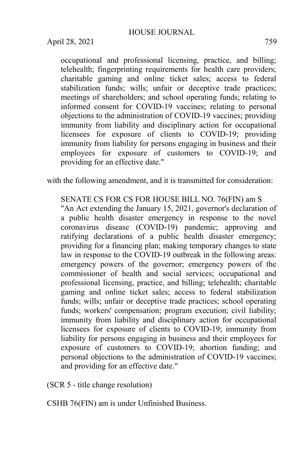occupational and professional licensing, practice, and billing; telehealth; fingerprinting requirements for health care providers; charitable gaming and online ticket sales; access to federal stabilization funds; wills; unfair or deceptive trade practices; meetings of shareholders; and school operating funds; relating to informed consent for COVID-19 vaccines; relating to personal objections to the administration of COVID-19 vaccines; providing immunity from liability and disciplinary action for occupational licensees for exposure of clients to COVID-19; providing immunity from liability for persons engaging in business and their employees for exposure of customers to COVID-19; and providing for an effective date."

with the following amendment, and it is transmitted for consideration:

SENATE CS FOR CS FOR HOUSE BILL NO. 76(FIN) am S "An Act extending the January 15, 2021, governor's declaration of a public health disaster emergency in response to the novel coronavirus disease (COVID-19) pandemic; approving and ratifying declarations of a public health disaster emergency; providing for a financing plan; making temporary changes to state law in response to the COVID-19 outbreak in the following areas: emergency powers of the governor; emergency powers of the commissioner of health and social services; occupational and professional licensing, practice, and billing; telehealth; charitable gaming and online ticket sales; access to federal stabilization funds; wills; unfair or deceptive trade practices; school operating funds; workers' compensation; program execution; civil liability; immunity from liability and disciplinary action for occupational licensees for exposure of clients to COVID-19; immunity from liability for persons engaging in business and their employees for exposure of customers to COVID-19; abortion funding; and personal objections to the administration of COVID-19 vaccines; and providing for an effective date."

(SCR 5 - title change resolution)

CSHB 76(FIN) am is under Unfinished Business.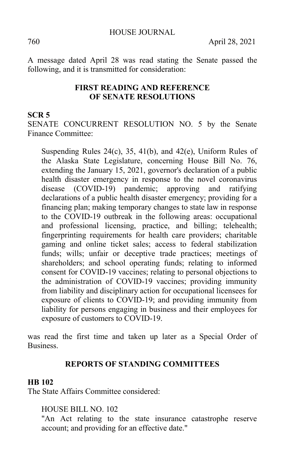A message dated April 28 was read stating the Senate passed the following, and it is transmitted for consideration:

#### **FIRST READING AND REFERENCE OF SENATE RESOLUTIONS**

#### **SCR 5**

SENATE CONCURRENT RESOLUTION NO. 5 by the Senate Finance Committee:

Suspending Rules  $24(c)$ ,  $35$ ,  $41(b)$ , and  $42(e)$ , Uniform Rules of the Alaska State Legislature, concerning House Bill No. 76, extending the January 15, 2021, governor's declaration of a public health disaster emergency in response to the novel coronavirus disease (COVID-19) pandemic; approving and ratifying declarations of a public health disaster emergency; providing for a financing plan; making temporary changes to state law in response to the COVID-19 outbreak in the following areas: occupational and professional licensing, practice, and billing; telehealth; fingerprinting requirements for health care providers; charitable gaming and online ticket sales; access to federal stabilization funds; wills; unfair or deceptive trade practices; meetings of shareholders; and school operating funds; relating to informed consent for COVID-19 vaccines; relating to personal objections to the administration of COVID-19 vaccines; providing immunity from liability and disciplinary action for occupational licensees for exposure of clients to COVID-19; and providing immunity from liability for persons engaging in business and their employees for exposure of customers to COVID-19.

was read the first time and taken up later as a Special Order of Business.

#### **REPORTS OF STANDING COMMITTEES**

#### **HB 102**

The State Affairs Committee considered:

HOUSE BILL NO. 102

"An Act relating to the state insurance catastrophe reserve account; and providing for an effective date."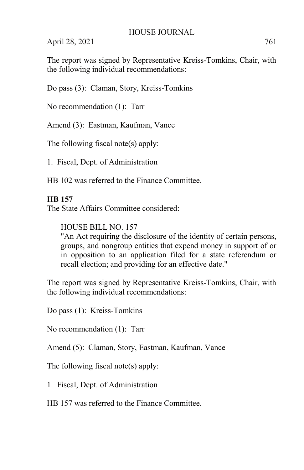The report was signed by Representative Kreiss-Tomkins, Chair, with the following individual recommendations:

Do pass (3): Claman, Story, Kreiss-Tomkins

No recommendation (1): Tarr

Amend (3): Eastman, Kaufman, Vance

The following fiscal note(s) apply:

1. Fiscal, Dept. of Administration

HB 102 was referred to the Finance Committee.

#### **HB 157**

The State Affairs Committee considered:

HOUSE BILL NO. 157

"An Act requiring the disclosure of the identity of certain persons, groups, and nongroup entities that expend money in support of or in opposition to an application filed for a state referendum or recall election; and providing for an effective date."

The report was signed by Representative Kreiss-Tomkins, Chair, with the following individual recommendations:

Do pass (1): Kreiss-Tomkins

No recommendation (1): Tarr

Amend (5): Claman, Story, Eastman, Kaufman, Vance

The following fiscal note(s) apply:

1. Fiscal, Dept. of Administration

HB 157 was referred to the Finance Committee.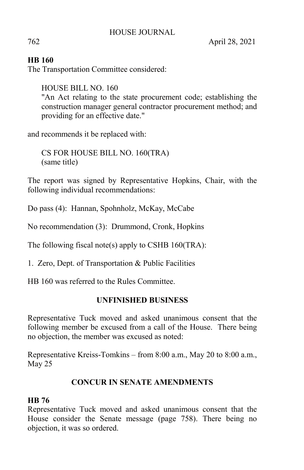### **HB 160**

The Transportation Committee considered:

HOUSE BILL NO. 160 "An Act relating to the state procurement code; establishing the construction manager general contractor procurement method; and providing for an effective date."

and recommends it be replaced with:

CS FOR HOUSE BILL NO. 160(TRA) (same title)

The report was signed by Representative Hopkins, Chair, with the following individual recommendations:

Do pass (4): Hannan, Spohnholz, McKay, McCabe

No recommendation (3): Drummond, Cronk, Hopkins

The following fiscal note(s) apply to CSHB 160(TRA):

1. Zero, Dept. of Transportation & Public Facilities

HB 160 was referred to the Rules Committee.

### **UNFINISHED BUSINESS**

Representative Tuck moved and asked unanimous consent that the following member be excused from a call of the House. There being no objection, the member was excused as noted:

Representative Kreiss-Tomkins – from 8:00 a.m., May 20 to 8:00 a.m., May 25

## **CONCUR IN SENATE AMENDMENTS**

### **HB 76**

Representative Tuck moved and asked unanimous consent that the House consider the Senate message (page 758). There being no objection, it was so ordered.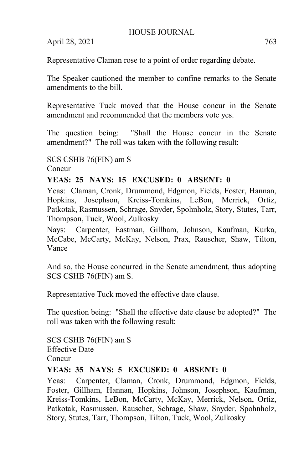Representative Claman rose to a point of order regarding debate.

The Speaker cautioned the member to confine remarks to the Senate amendments to the bill.

Representative Tuck moved that the House concur in the Senate amendment and recommended that the members vote yes.

The question being: "Shall the House concur in the Senate amendment?" The roll was taken with the following result:

SCS CSHB 76(FIN) am S

Concur

### **YEAS: 25 NAYS: 15 EXCUSED: 0 ABSENT: 0**

Yeas: Claman, Cronk, Drummond, Edgmon, Fields, Foster, Hannan, Hopkins, Josephson, Kreiss-Tomkins, LeBon, Merrick, Ortiz, Patkotak, Rasmussen, Schrage, Snyder, Spohnholz, Story, Stutes, Tarr, Thompson, Tuck, Wool, Zulkosky

Nays: Carpenter, Eastman, Gillham, Johnson, Kaufman, Kurka, McCabe, McCarty, McKay, Nelson, Prax, Rauscher, Shaw, Tilton, Vance

And so, the House concurred in the Senate amendment, thus adopting SCS CSHB 76(FIN) am S.

Representative Tuck moved the effective date clause.

The question being: "Shall the effective date clause be adopted?" The roll was taken with the following result:

SCS CSHB 76(FIN) am S Effective Date Concur

### **YEAS: 35 NAYS: 5 EXCUSED: 0 ABSENT: 0**

Yeas: Carpenter, Claman, Cronk, Drummond, Edgmon, Fields, Foster, Gillham, Hannan, Hopkins, Johnson, Josephson, Kaufman, Kreiss-Tomkins, LeBon, McCarty, McKay, Merrick, Nelson, Ortiz, Patkotak, Rasmussen, Rauscher, Schrage, Shaw, Snyder, Spohnholz, Story, Stutes, Tarr, Thompson, Tilton, Tuck, Wool, Zulkosky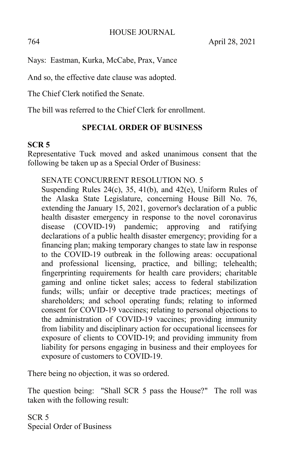Nays: Eastman, Kurka, McCabe, Prax, Vance

And so, the effective date clause was adopted.

The Chief Clerk notified the Senate.

The bill was referred to the Chief Clerk for enrollment.

### **SPECIAL ORDER OF BUSINESS**

#### **SCR 5**

Representative Tuck moved and asked unanimous consent that the following be taken up as a Special Order of Business:

#### SENATE CONCURRENT RESOLUTION NO. 5

Suspending Rules 24(c), 35, 41(b), and 42(e), Uniform Rules of the Alaska State Legislature, concerning House Bill No. 76, extending the January 15, 2021, governor's declaration of a public health disaster emergency in response to the novel coronavirus disease (COVID-19) pandemic; approving and ratifying declarations of a public health disaster emergency; providing for a financing plan; making temporary changes to state law in response to the COVID-19 outbreak in the following areas: occupational and professional licensing, practice, and billing; telehealth; fingerprinting requirements for health care providers; charitable gaming and online ticket sales; access to federal stabilization funds; wills; unfair or deceptive trade practices; meetings of shareholders; and school operating funds; relating to informed consent for COVID-19 vaccines; relating to personal objections to the administration of COVID-19 vaccines; providing immunity from liability and disciplinary action for occupational licensees for exposure of clients to COVID-19; and providing immunity from liability for persons engaging in business and their employees for exposure of customers to COVID-19.

There being no objection, it was so ordered.

The question being: "Shall SCR 5 pass the House?" The roll was taken with the following result:

SCR 5 Special Order of Business